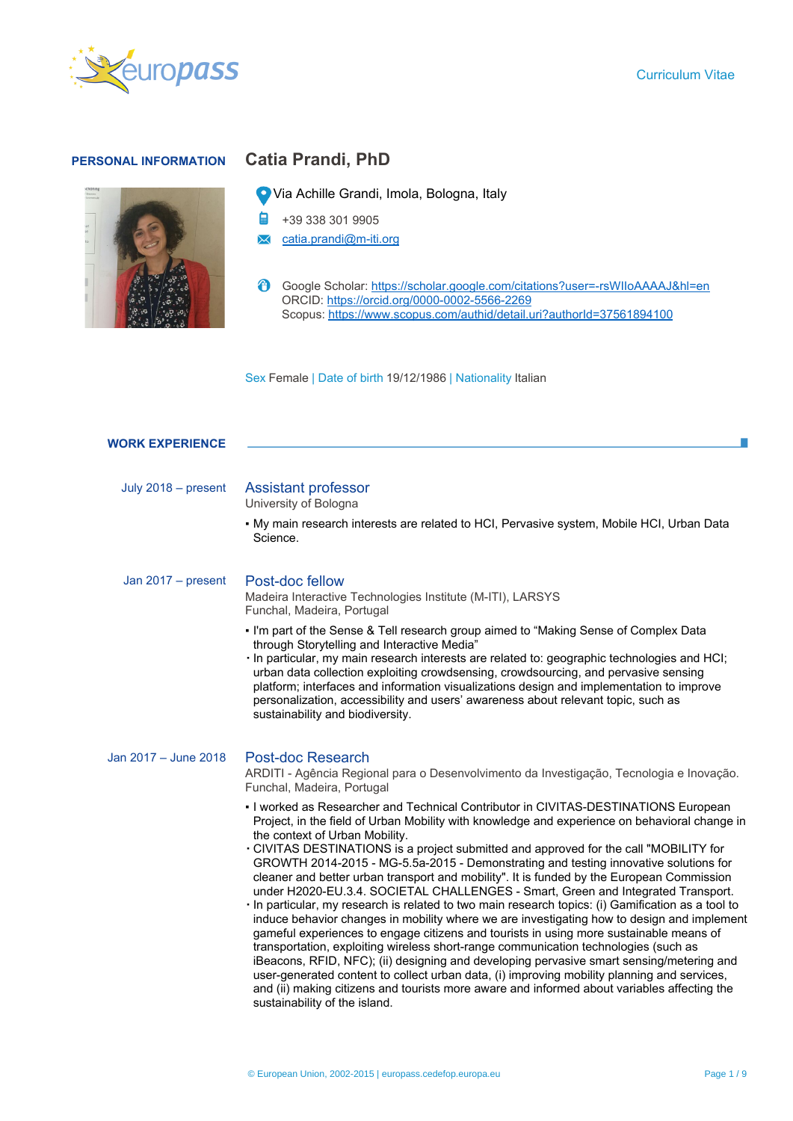# **PERSONAL INFORMATION Catia Prandi, PhD**



Via Achille Grandi, Imola, Bologna, Italy

- +39 338 301 9905
- $\times$  [catia.prandi@m-iti.org](mailto:catia.prandi@m-iti.org)
- Google Scholar:<https://scholar.google.com/citations?user=-rsWIIoAAAAJ&hl=en> ORCID: <https://orcid.org/0000-0002-5566-2269> Scopus: <https://www.scopus.com/authid/detail.uri?authorId=37561894100>

Sex Female | Date of birth 19/12/1986 | Nationality Italian

| <b>WORK EXPERIENCE</b> |                                                                                                                                                                                                                                                                                                                                                                                                                                                                                                                                                                                                                                                                                                                                                                                                                                                                                                                                                                                                                                                                                                                                                                                                                                                                                                        |
|------------------------|--------------------------------------------------------------------------------------------------------------------------------------------------------------------------------------------------------------------------------------------------------------------------------------------------------------------------------------------------------------------------------------------------------------------------------------------------------------------------------------------------------------------------------------------------------------------------------------------------------------------------------------------------------------------------------------------------------------------------------------------------------------------------------------------------------------------------------------------------------------------------------------------------------------------------------------------------------------------------------------------------------------------------------------------------------------------------------------------------------------------------------------------------------------------------------------------------------------------------------------------------------------------------------------------------------|
|                        |                                                                                                                                                                                                                                                                                                                                                                                                                                                                                                                                                                                                                                                                                                                                                                                                                                                                                                                                                                                                                                                                                                                                                                                                                                                                                                        |
| July $2018$ – present  | <b>Assistant professor</b><br>University of Bologna                                                                                                                                                                                                                                                                                                                                                                                                                                                                                                                                                                                                                                                                                                                                                                                                                                                                                                                                                                                                                                                                                                                                                                                                                                                    |
|                        | • My main research interests are related to HCI, Pervasive system, Mobile HCI, Urban Data<br>Science.                                                                                                                                                                                                                                                                                                                                                                                                                                                                                                                                                                                                                                                                                                                                                                                                                                                                                                                                                                                                                                                                                                                                                                                                  |
| Jan $2017$ – present   | Post-doc fellow<br>Madeira Interactive Technologies Institute (M-ITI), LARSYS<br>Funchal, Madeira, Portugal                                                                                                                                                                                                                                                                                                                                                                                                                                                                                                                                                                                                                                                                                                                                                                                                                                                                                                                                                                                                                                                                                                                                                                                            |
|                        | . I'm part of the Sense & Tell research group aimed to "Making Sense of Complex Data<br>through Storytelling and Interactive Media"<br>· In particular, my main research interests are related to: geographic technologies and HCI;<br>urban data collection exploiting crowdsensing, crowdsourcing, and pervasive sensing<br>platform; interfaces and information visualizations design and implementation to improve<br>personalization, accessibility and users' awareness about relevant topic, such as<br>sustainability and biodiversity.                                                                                                                                                                                                                                                                                                                                                                                                                                                                                                                                                                                                                                                                                                                                                        |
| Jan 2017 - June 2018   | Post-doc Research<br>ARDITI - Agência Regional para o Desenvolvimento da Investigação, Tecnologia e Inovação.<br>Funchal, Madeira, Portugal                                                                                                                                                                                                                                                                                                                                                                                                                                                                                                                                                                                                                                                                                                                                                                                                                                                                                                                                                                                                                                                                                                                                                            |
|                        | - I worked as Researcher and Technical Contributor in CIVITAS-DESTINATIONS European<br>Project, in the field of Urban Mobility with knowledge and experience on behavioral change in<br>the context of Urban Mobility.<br>. CIVITAS DESTINATIONS is a project submitted and approved for the call "MOBILITY for<br>GROWTH 2014-2015 - MG-5.5a-2015 - Demonstrating and testing innovative solutions for<br>cleaner and better urban transport and mobility". It is funded by the European Commission<br>under H2020-EU.3.4. SOCIETAL CHALLENGES - Smart, Green and Integrated Transport.<br>In particular, my research is related to two main research topics: (i) Gamification as a tool to<br>induce behavior changes in mobility where we are investigating how to design and implement<br>gameful experiences to engage citizens and tourists in using more sustainable means of<br>transportation, exploiting wireless short-range communication technologies (such as<br>iBeacons, RFID, NFC); (ii) designing and developing pervasive smart sensing/metering and<br>user-generated content to collect urban data, (i) improving mobility planning and services,<br>and (ii) making citizens and tourists more aware and informed about variables affecting the<br>sustainability of the island. |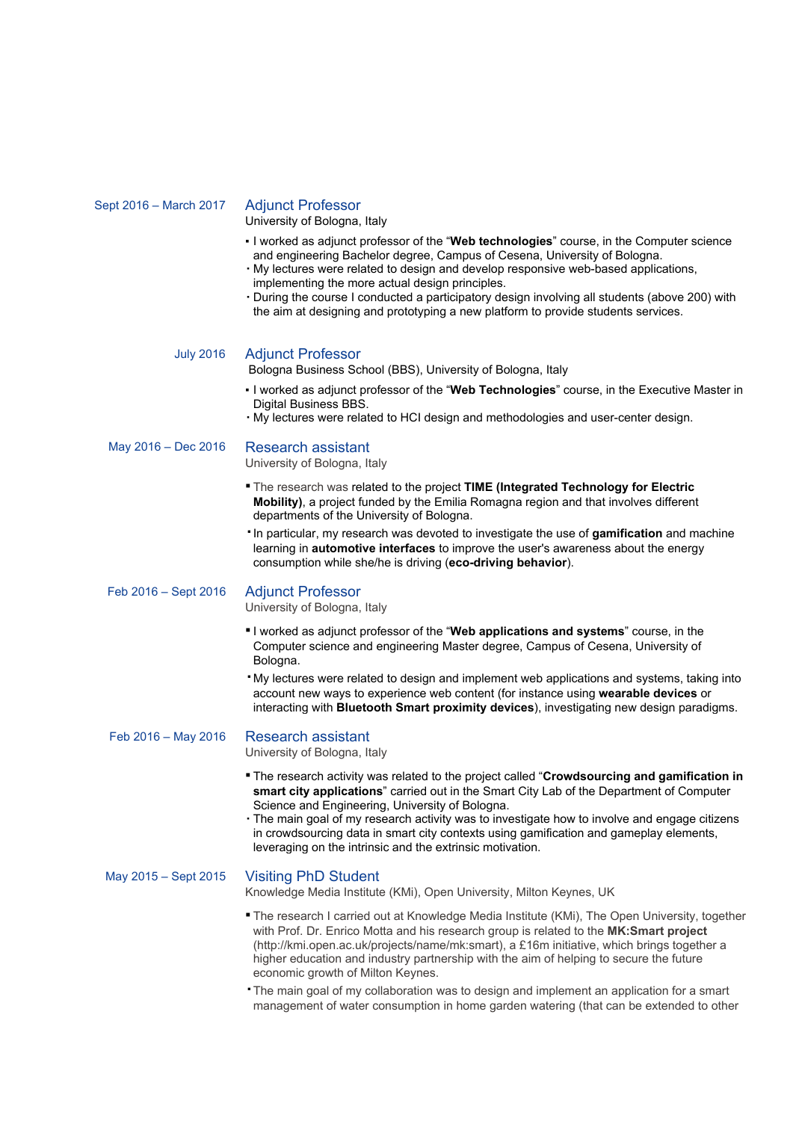# Sept 2016 – March 2017 Adjunct Professor University of Bologna, Italy

- I worked as adjunct professor of the "**Web technologies**" course, in the Computer science and engineering Bachelor degree, Campus of Cesena, University of Bologna.
- My lectures were related to design and develop responsive web-based applications, implementing the more actual design principles.
- During the course I conducted a participatory design involving all students (above 200) with the aim at designing and prototyping a new platform to provide students services.

#### July 2016 Adjunct Professor

Bologna Business School (BBS), University of Bologna, Italy

- I worked as adjunct professor of the "**Web Technologies**" course, in the Executive Master in Digital Business BBS.
- My lectures were related to HCI design and methodologies and user-center design.

May 2016 – Dec 2016 Research assistant

University of Bologna, Italy

- The research was related to the project **TIME (Integrated Technology for Electric Mobility)**, a project funded by the Emilia Romagna region and that involves different departments of the University of Bologna.
- ▪In particular, my research was devoted to investigate the use of **gamification** and machine learning in **automotive interfaces** to improve the user's awareness about the energy consumption while she/he is driving (**eco-driving behavior**).

### Feb 2016 – Sept 2016 Adjunct Professor

University of Bologna, Italy

- ▪I worked as adjunct professor of the "**Web applications and systems**" course, in the Computer science and engineering Master degree, Campus of Cesena, University of Bologna.
- ▪My lectures were related to design and implement web applications and systems, taking into account new ways to experience web content (for instance using **wearable devices** or interacting with **Bluetooth Smart proximity devices**), investigating new design paradigms.

# Feb 2016 – May 2016 Research assistant

University of Bologna, Italy

- The research activity was related to the project called "**Crowdsourcing and gamification in smart city applications**" carried out in the Smart City Lab of the Department of Computer Science and Engineering, University of Bologna.
- . The main goal of my research activity was to investigate how to involve and engage citizens in crowdsourcing data in smart city contexts using gamification and gameplay elements, leveraging on the intrinsic and the extrinsic motivation.

## May 2015 – Sept 2015 Visiting PhD Student

Knowledge Media Institute (KMi), Open University, Milton Keynes, UK

- **The research I carried out at Knowledge Media Institute (KMi), The Open University, together** with Prof. Dr. Enrico Motta and his research group is related to the **MK:Smart project** (<http://kmi.open.ac.uk/projects/name/mk:smart>), a £16m initiative, which brings together a higher education and industry partnership with the aim of helping to secure the future economic growth of Milton Keynes.
- ▪The main goal of my collaboration was to design and implement an application for a smart management of water consumption in home garden watering (that can be extended to other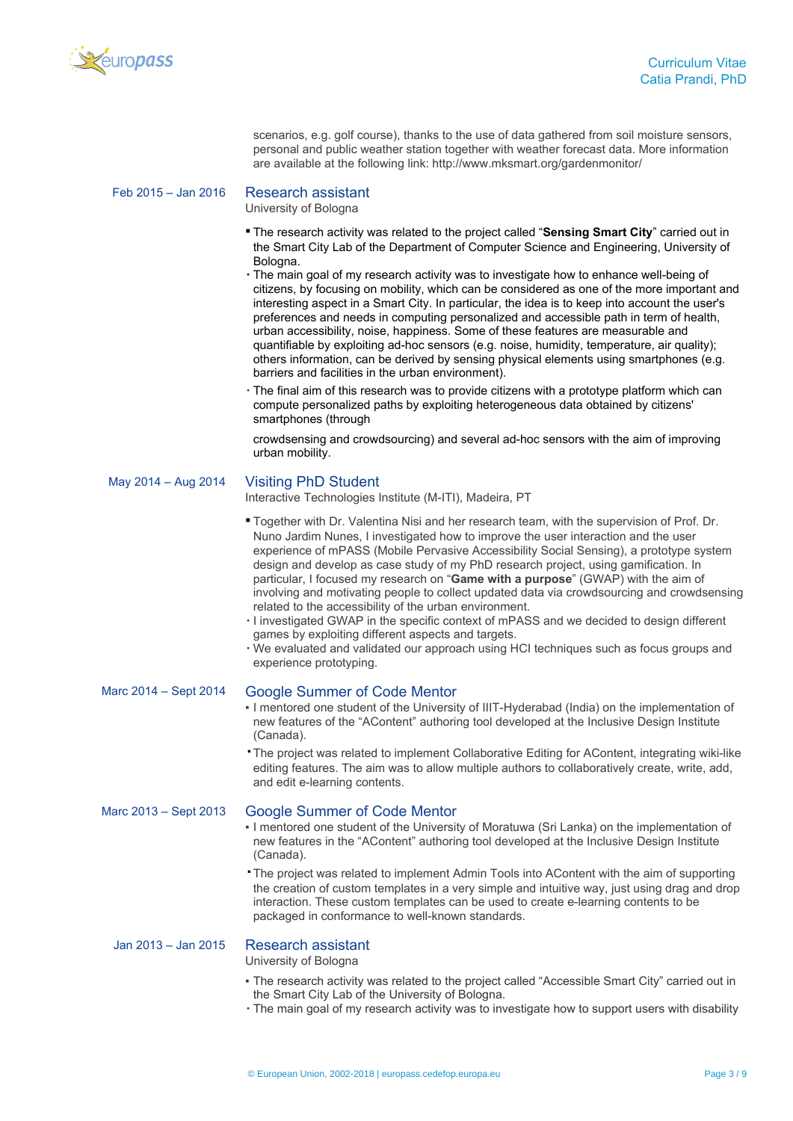

scenarios, e.g. golf course), thanks to the use of data gathered from soil moisture sensors, personal and public weather station together with weather forecast data. More information are available at the following link: <http://www.mksmart.org/gardenmonitor/>

| Feb 2015 - Jan 2016 |  |
|---------------------|--|
|---------------------|--|

#### **Research assistant**

University of Bologna

- **The research activity was related to the project called "Sensing Smart City" carried out in** the Smart City Lab of the Department of Computer Science and Engineering, University of Bologna.
- The main goal of my research activity was to investigate how to enhance well-being of citizens, by focusing on mobility, which can be considered as one of the more important and interesting aspect in a Smart City. In particular, the idea is to keep into account the user's preferences and needs in computing personalized and accessible path in term of health, urban accessibility, noise, happiness. Some of these features are measurable and quantifiable by exploiting ad-hoc sensors (e.g. noise, humidity, temperature, air quality); others information, can be derived by sensing physical elements using smartphones (e.g. barriers and facilities in the urban environment).
- The final aim of this research was to provide citizens with a prototype platform which can compute personalized paths by exploiting heterogeneous data obtained by citizens' smartphones (through

crowdsensing and crowdsourcing) and several ad-hoc sensors with the aim of improving urban mobility.

# May 2014 – Aug 2014 Visiting PhD Student

Interactive Technologies Institute (M-ITI), Madeira, PT

- Together with Dr. Valentina Nisi and her research team, with the supervision of Prof. Dr. Nuno Jardim Nunes, I investigated how to improve the user interaction and the user experience of mPASS (Mobile Pervasive Accessibility Social Sensing), a prototype system design and develop as case study of my PhD research project, using gamification. In particular, I focused my research on "**Game with a purpose**" (GWAP) with the aim of involving and motivating people to collect updated data via crowdsourcing and crowdsensing related to the accessibility of the urban environment.
- I investigated GWAP in the specific context of mPASS and we decided to design different games by exploiting different aspects and targets.
- We evaluated and validated our approach using HCI techniques such as focus groups and experience prototyping.

#### Marc 2014 – Sept 2014 Google Summer of Code Mentor

- I mentored one student of the University of IIIT-Hyderabad (India) on the implementation of new features of the "AContent" authoring tool developed at the Inclusive Design Institute (Canada).
- ▪The project was related to implement Collaborative Editing for AContent, integrating wiki-like editing features. The aim was to allow multiple authors to collaboratively create, write, add, and edit e-learning contents.

### Marc 2013 – Sept 2013 Google Summer of Code Mentor

- I mentored one student of the University of Moratuwa (Sri Lanka) on the implementation of new features in the "AContent" authoring tool developed at the Inclusive Design Institute (Canada).
- ▪The project was related to implement Admin Tools into AContent with the aim of supporting the creation of custom templates in a very simple and intuitive way, just using drag and drop interaction. These custom templates can be used to create e-learning contents to be packaged in conformance to well-known standards.

# Jan 2013 – Jan 2015 Research assistant

University of Bologna

- The research activity was related to the project called "Accessible Smart City" carried out in the Smart City Lab of the University of Bologna.
- The main goal of my research activity was to investigate how to support users with disability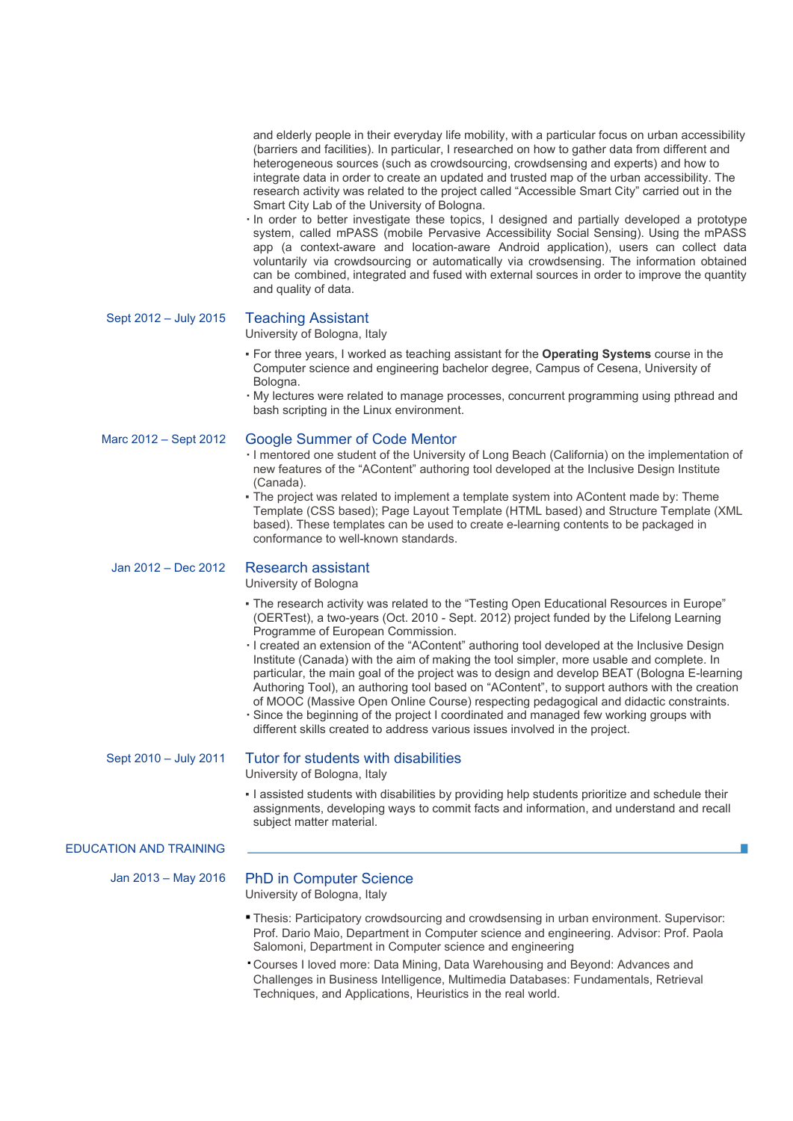and elderly people in their everyday life mobility, with a particular focus on urban accessibility (barriers and facilities). In particular, I researched on how to gather data from different and heterogeneous sources (such as crowdsourcing, crowdsensing and experts) and how to integrate data in order to create an updated and trusted map of the urban accessibility. The research activity was related to the project called "Accessible Smart City" carried out in the Smart City Lab of the University of Bologna.

▪ In order to better investigate these topics, I designed and partially developed a prototype system, called mPASS (mobile Pervasive Accessibility Social Sensing). Using the mPASS app (a context-aware and location-aware Android application), users can collect data voluntarily via crowdsourcing or automatically via crowdsensing. The information obtained can be combined, integrated and fused with external sources in order to improve the quantity and quality of data.

Sept 2012 – July 2015 Teaching Assistant

University of Bologna, Italy

- For three years, I worked as teaching assistant for the **Operating Systems** course in the Computer science and engineering bachelor degree, Campus of Cesena, University of Bologna.
- My lectures were related to manage processes, concurrent programming using pthread and bash scripting in the Linux environment.

# Marc 2012 – Sept 2012 Google Summer of Code Mentor

- I mentored one student of the University of Long Beach (California) on the implementation of new features of the "AContent" authoring tool developed at the Inclusive Design Institute (Canada).
- The project was related to implement a template system into AContent made by: Theme Template (CSS based); Page Layout Template (HTML based) and Structure Template (XML based). These templates can be used to create e-learning contents to be packaged in conformance to well-known standards.

# Jan 2012 – Dec 2012 Research assistant

University of Bologna

- The research activity was related to the "Testing Open Educational Resources in Europe" (OERTest), a two-years (Oct. 2010 - Sept. 2012) project funded by the Lifelong Learning Programme of European Commission.
- I created an extension of the "AContent" authoring tool developed at the Inclusive Design Institute (Canada) with the aim of making the tool simpler, more usable and complete. In particular, the main goal of the project was to design and develop BEAT (Bologna E-learning Authoring Tool), an authoring tool based on "AContent", to support authors with the creation of MOOC (Massive Open Online Course) respecting pedagogical and didactic constraints.
- Since the beginning of the project I coordinated and managed few working groups with different skills created to address various issues involved in the project.

#### Sept 2010 – July 2011 Tutor for students with disabilities

University of Bologna, Italy

. I assisted students with disabilities by providing help students prioritize and schedule their assignments, developing ways to commit facts and information, and understand and recall subject matter material.

# EDUCATION AND TRAINING

## Jan 2013 – May 2016 PhD in Computer Science

University of Bologna, Italy

- Thesis: Participatory crowdsourcing and crowdsensing in urban environment. Supervisor: Prof. Dario Maio, Department in Computer science and engineering. Advisor: Prof. Paola Salomoni, Department in Computer science and engineering
- ▪Courses I loved more: Data Mining, Data Warehousing and Beyond: Advances and Challenges in Business Intelligence, Multimedia Databases: Fundamentals, Retrieval Techniques, and Applications, Heuristics in the real world.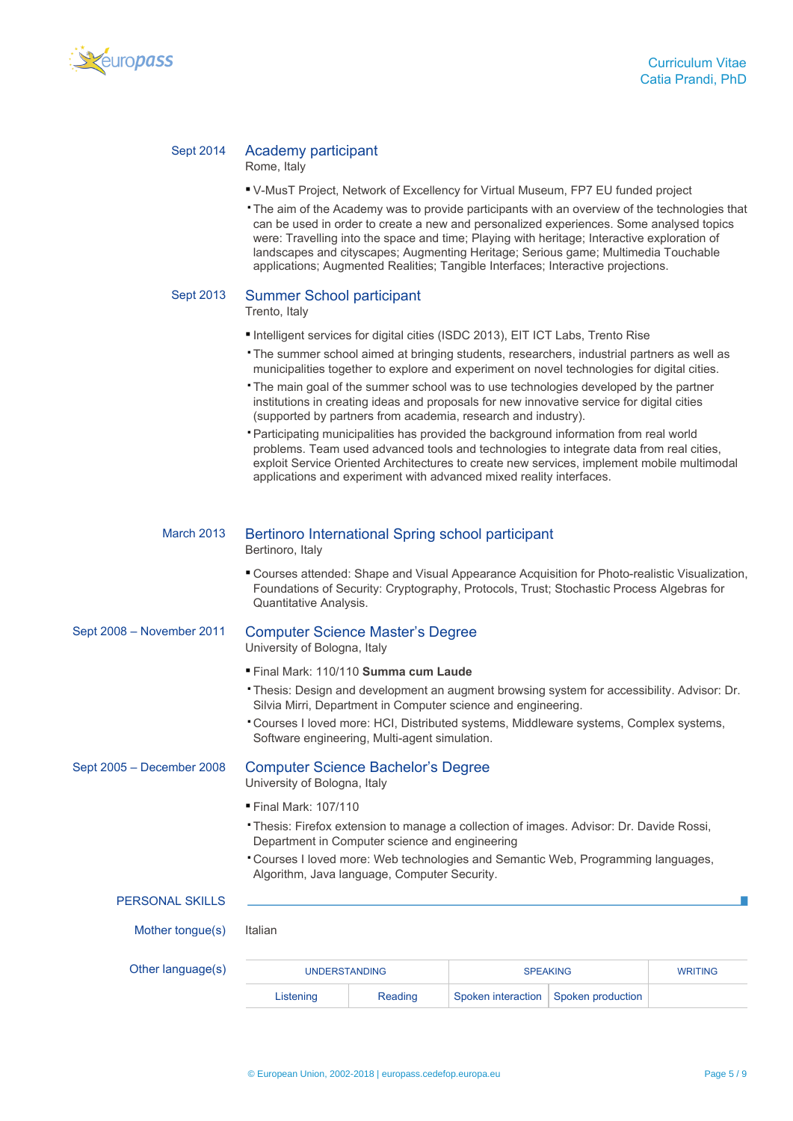

# Sept 2014 Academy participant

Rome, Italy

- V-MusT Project, Network of Excellency for Virtual Museum, FP7 EU funded project
- ▪The aim of the Academy was to provide participants with an overview of the technologies that can be used in order to create a new and personalized experiences. Some analysed topics were: Travelling into the space and time; Playing with heritage; Interactive exploration of landscapes and cityscapes; Augmenting Heritage; Serious game; Multimedia Touchable applications; Augmented Realities; Tangible Interfaces; Interactive projections.

# Sept 2013 Summer School participant

Trento, Italy

- ▪Intelligent services for digital cities (ISDC 2013), EIT ICT Labs, Trento Rise
- ▪The summer school aimed at bringing students, researchers, industrial partners as well as municipalities together to explore and experiment on novel technologies for digital cities.
- ▪The main goal of the summer school was to use technologies developed by the partner institutions in creating ideas and proposals for new innovative service for digital cities (supported by partners from academia, research and industry).
- ▪Participating municipalities has provided the background information from real world problems. Team used advanced tools and technologies to integrate data from real cities, exploit Service Oriented Architectures to create new services, implement mobile multimodal applications and experiment with advanced mixed reality interfaces.

## March 2013 Bertinoro International Spring school participant

Bertinoro, Italy

▪ Courses attended: Shape and Visual Appearance Acquisition for Photo-realistic Visualization, Foundations of Security: Cryptography, Protocols, Trust; Stochastic Process Algebras for Quantitative Analysis.

Sept 2008 – November 2011 Computer Science Master's Degree

# University of Bologna, Italy

- Final Mark: 110/110 **Summa cum Laude**
- ▪Thesis: Design and development an augment browsing system for accessibility. Advisor: Dr. Silvia Mirri, Department in Computer science and engineering.
- ▪Courses I loved more: HCI, Distributed systems, Middleware systems, Complex systems, Software engineering, Multi-agent simulation.

# Sept 2005 – December 2008 Computer Science Bachelor's Degree

University of Bologna, Italy

- Final Mark: 107/110
- ▪Thesis: Firefox extension to manage a collection of images. Advisor: Dr. Davide Rossi, Department in Computer science and engineering
- ▪Courses I loved more: Web technologies and Semantic Web, Programming languages, Algorithm, Java language, Computer Security.

#### PERSONAL SKILLS

Mother tongue(s) Italian

| Other language(s) | <b>UNDERSTANDING</b> |         | <b>SPEAKING</b> | <b>WRITING</b>                         |  |
|-------------------|----------------------|---------|-----------------|----------------------------------------|--|
|                   | Listening            | Reading |                 | Spoken interaction   Spoken production |  |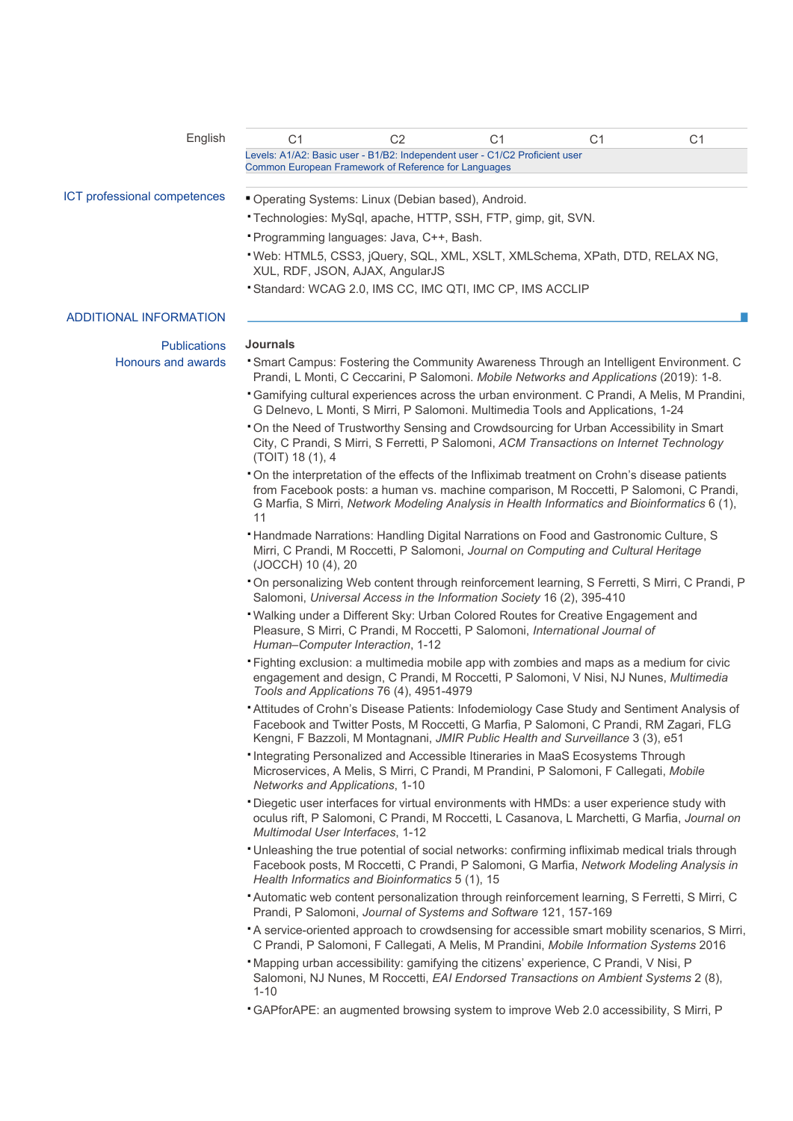| English                       | C <sub>1</sub>                                                                                                                                                                         | C <sub>2</sub> | C <sub>1</sub>                                                                                                                                                                                                                                                                         | C <sub>1</sub> | C <sub>1</sub> |
|-------------------------------|----------------------------------------------------------------------------------------------------------------------------------------------------------------------------------------|----------------|----------------------------------------------------------------------------------------------------------------------------------------------------------------------------------------------------------------------------------------------------------------------------------------|----------------|----------------|
|                               | Common European Framework of Reference for Languages                                                                                                                                   |                | Levels: A1/A2: Basic user - B1/B2: Independent user - C1/C2 Proficient user                                                                                                                                                                                                            |                |                |
| ICT professional competences  | " Operating Systems: Linux (Debian based), Android.                                                                                                                                    |                |                                                                                                                                                                                                                                                                                        |                |                |
|                               |                                                                                                                                                                                        |                | Technologies: MySql, apache, HTTP, SSH, FTP, gimp, git, SVN.                                                                                                                                                                                                                           |                |                |
|                               | Programming languages: Java, C++, Bash.                                                                                                                                                |                |                                                                                                                                                                                                                                                                                        |                |                |
|                               | XUL, RDF, JSON, AJAX, AngularJS                                                                                                                                                        |                | "Web: HTML5, CSS3, jQuery, SQL, XML, XSLT, XMLSchema, XPath, DTD, RELAX NG,                                                                                                                                                                                                            |                |                |
|                               |                                                                                                                                                                                        |                | Standard: WCAG 2.0, IMS CC, IMC QTI, IMC CP, IMS ACCLIP                                                                                                                                                                                                                                |                |                |
| <b>ADDITIONAL INFORMATION</b> |                                                                                                                                                                                        |                |                                                                                                                                                                                                                                                                                        |                |                |
| <b>Publications</b>           | <b>Journals</b>                                                                                                                                                                        |                |                                                                                                                                                                                                                                                                                        |                |                |
| Honours and awards            |                                                                                                                                                                                        |                | <b>• Smart Campus: Fostering the Community Awareness Through an Intelligent Environment. C</b><br>Prandi, L Monti, C Ceccarini, P Salomoni. Mobile Networks and Applications (2019): 1-8.                                                                                              |                |                |
|                               | <b>Camifying cultural experiences across the urban environment. C Prandi, A Melis, M Prandini,</b><br>G Delnevo, L Monti, S Mirri, P Salomoni. Multimedia Tools and Applications, 1-24 |                |                                                                                                                                                                                                                                                                                        |                |                |
|                               | (TOIT) 18 (1), 4                                                                                                                                                                       |                | . On the Need of Trustworthy Sensing and Crowdsourcing for Urban Accessibility in Smart<br>City, C Prandi, S Mirri, S Ferretti, P Salomoni, ACM Transactions on Internet Technology                                                                                                    |                |                |
|                               | 11                                                                                                                                                                                     |                | On the interpretation of the effects of the Infliximab treatment on Crohn's disease patients<br>from Facebook posts: a human vs. machine comparison, M Roccetti, P Salomoni, C Prandi,<br>G Marfia, S Mirri, Network Modeling Analysis in Health Informatics and Bioinformatics 6 (1), |                |                |
|                               | (JOCCH) 10 (4), 20                                                                                                                                                                     |                | <b>* Handmade Narrations: Handling Digital Narrations on Food and Gastronomic Culture, S</b><br>Mirri, C Prandi, M Roccetti, P Salomoni, Journal on Computing and Cultural Heritage                                                                                                    |                |                |
|                               |                                                                                                                                                                                        |                | On personalizing Web content through reinforcement learning, S Ferretti, S Mirri, C Prandi, P<br>Salomoni, Universal Access in the Information Society 16 (2), 395-410                                                                                                                 |                |                |
|                               | Human-Computer Interaction, 1-12                                                                                                                                                       |                | " Walking under a Different Sky: Urban Colored Routes for Creative Engagement and<br>Pleasure, S Mirri, C Prandi, M Roccetti, P Salomoni, International Journal of                                                                                                                     |                |                |
|                               | Tools and Applications 76 (4), 4951-4979                                                                                                                                               |                | "Fighting exclusion: a multimedia mobile app with zombies and maps as a medium for civic<br>engagement and design, C Prandi, M Roccetti, P Salomoni, V Nisi, NJ Nunes, Multimedia                                                                                                      |                |                |
|                               |                                                                                                                                                                                        |                | * Attitudes of Crohn's Disease Patients: Infodemiology Case Study and Sentiment Analysis of<br>Facebook and Twitter Posts, M Roccetti, G Marfia, P Salomoni, C Prandi, RM Zagari, FLG<br>Kengni, F Bazzoli, M Montagnani, JMIR Public Health and Surveillance 3 (3), e51               |                |                |
|                               | Networks and Applications, 1-10                                                                                                                                                        |                | Integrating Personalized and Accessible Itineraries in MaaS Ecosystems Through<br>Microservices, A Melis, S Mirri, C Prandi, M Prandini, P Salomoni, F Callegati, Mobile                                                                                                               |                |                |
|                               | Multimodal User Interfaces, 1-12                                                                                                                                                       |                | · Diegetic user interfaces for virtual environments with HMDs: a user experience study with<br>oculus rift, P Salomoni, C Prandi, M Roccetti, L Casanova, L Marchetti, G Marfia, Journal on                                                                                            |                |                |
|                               | Health Informatics and Bioinformatics 5 (1), 15                                                                                                                                        |                | • Unleashing the true potential of social networks: confirming infliximab medical trials through<br>Facebook posts, M Roccetti, C Prandi, P Salomoni, G Marfia, Network Modeling Analysis in                                                                                           |                |                |
|                               |                                                                                                                                                                                        |                | Automatic web content personalization through reinforcement learning, S Ferretti, S Mirri, C<br>Prandi, P Salomoni, Journal of Systems and Software 121, 157-169                                                                                                                       |                |                |
|                               |                                                                                                                                                                                        |                | A service-oriented approach to crowdsensing for accessible smart mobility scenarios, S Mirri,<br>C Prandi, P Salomoni, F Callegati, A Melis, M Prandini, Mobile Information Systems 2016                                                                                               |                |                |
|                               | $1 - 10$                                                                                                                                                                               |                | "Mapping urban accessibility: gamifying the citizens' experience, C Prandi, V Nisi, P<br>Salomoni, NJ Nunes, M Roccetti, EAI Endorsed Transactions on Ambient Systems 2 (8),                                                                                                           |                |                |
|                               |                                                                                                                                                                                        |                | "GAPforAPE: an augmented browsing system to improve Web 2.0 accessibility, S Mirri, P                                                                                                                                                                                                  |                |                |
|                               |                                                                                                                                                                                        |                |                                                                                                                                                                                                                                                                                        |                |                |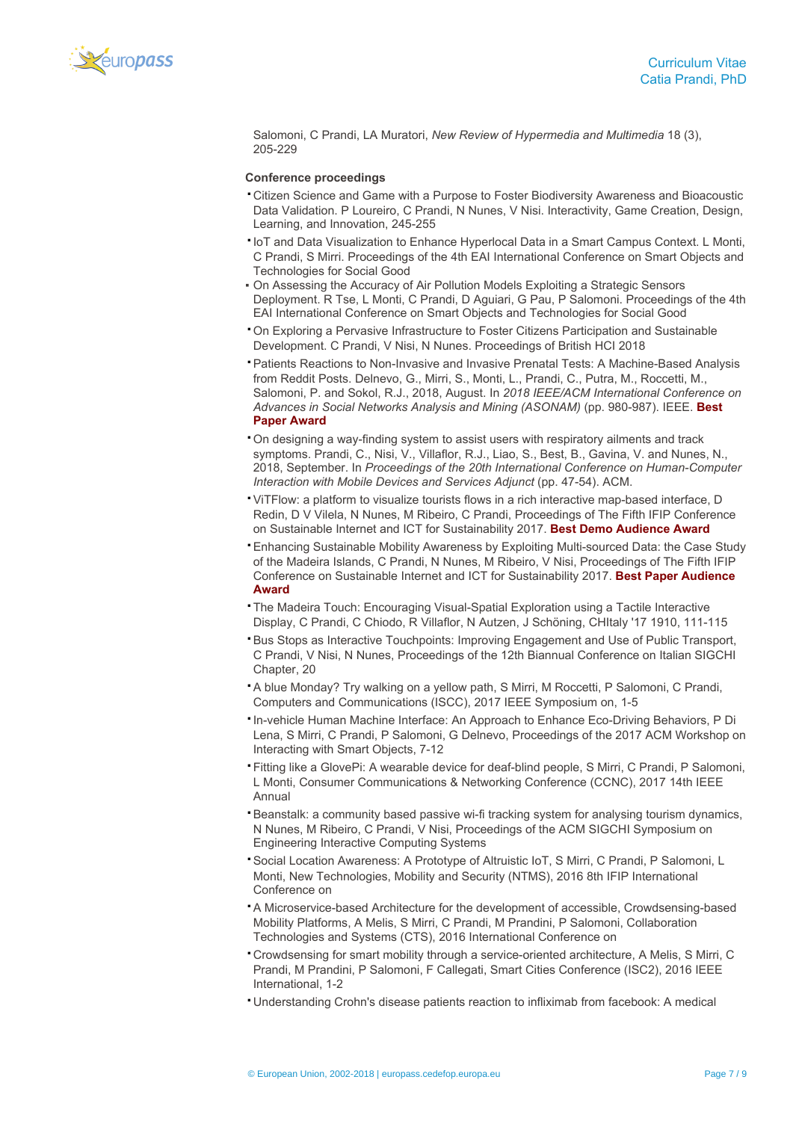

Salomoni, C Prandi, LA Muratori, *New Review of Hypermedia and Multimedia* 18 (3), 205-229

#### **Conference proceedings**

- ▪Citizen Science and Game with a Purpose to Foster Biodiversity Awareness and Bioacoustic Data Validation. P Loureiro, C Prandi, N Nunes, V Nisi. Interactivity, Game Creation, Design, Learning, and Innovation, 245-255
- ▪IoT and Data Visualization to Enhance Hyperlocal Data in a Smart Campus Context. L Monti, C Prandi, S Mirri. Proceedings of the 4th EAI International Conference on Smart Objects and Technologies for Social Good
- On Assessing the Accuracy of Air Pollution Models Exploiting a Strategic Sensors Deployment. R Tse, L Monti, C Prandi, D Aguiari, G Pau, P Salomoni. Proceedings of the 4th EAI International Conference on Smart Objects and Technologies for Social Good
- ▪On Exploring a Pervasive Infrastructure to Foster Citizens Participation and Sustainable Development. C Prandi, V Nisi, N Nunes. Proceedings of British HCI 2018
- ▪Patients Reactions to Non-Invasive and Invasive Prenatal Tests: A Machine-Based Analysis from Reddit Posts. Delnevo, G., Mirri, S., Monti, L., Prandi, C., Putra, M., Roccetti, M., Salomoni, P. and Sokol, R.J., 2018, August. In *2018 IEEE/ACM International Conference on Advances in Social Networks Analysis and Mining (ASONAM)* (pp. 980-987). IEEE. **Best Paper Award**
- ▪On designing a way-finding system to assist users with respiratory ailments and track symptoms. Prandi, C., Nisi, V., Villaflor, R.J., Liao, S., Best, B., Gavina, V. and Nunes, N., 2018, September. In *Proceedings of the 20th International Conference on Human-Computer Interaction with Mobile Devices and Services Adjunct* (pp. 47-54). ACM.
- ▪ViTFlow: a platform to visualize tourists flows in a rich interactive map-based interface, D Redin, D V Vilela, N Nunes, M Ribeiro, C Prandi, Proceedings of The Fifth IFIP Conference on Sustainable Internet and ICT for Sustainability 2017. **Best Demo Audience Award**
- ▪Enhancing Sustainable Mobility Awareness by Exploiting Multi-sourced Data: the Case Study of the Madeira Islands, C Prandi, N Nunes, M Ribeiro, V Nisi, Proceedings of The Fifth IFIP Conference on Sustainable Internet and ICT for Sustainability 2017. **Best Paper Audience Award**
- ▪The Madeira Touch: Encouraging Visual-Spatial Exploration using a Tactile Interactive Display, C Prandi, C Chiodo, R Villaflor, N Autzen, J Schöning, CHItaly '17 1910, 111-115
- ▪Bus Stops as Interactive Touchpoints: Improving Engagement and Use of Public Transport, C Prandi, V Nisi, N Nunes, Proceedings of the 12th Biannual Conference on Italian SIGCHI Chapter, 20
- ▪A blue Monday? Try walking on a yellow path, S Mirri, M Roccetti, P Salomoni, C Prandi, Computers and Communications (ISCC), 2017 IEEE Symposium on, 1-5
- ▪In-vehicle Human Machine Interface: An Approach to Enhance Eco-Driving Behaviors, P Di Lena, S Mirri, C Prandi, P Salomoni, G Delnevo, Proceedings of the 2017 ACM Workshop on Interacting with Smart Objects, 7-12
- ▪Fitting like a GlovePi: A wearable device for deaf-blind people, S Mirri, C Prandi, P Salomoni, L Monti, Consumer Communications & Networking Conference (CCNC), 2017 14th IEEE Annual
- ▪Beanstalk: a community based passive wi-fi tracking system for analysing tourism dynamics, N Nunes, M Ribeiro, C Prandi, V Nisi, Proceedings of the ACM SIGCHI Symposium on Engineering Interactive Computing Systems
- ▪Social Location Awareness: A Prototype of Altruistic IoT, S Mirri, C Prandi, P Salomoni, L Monti, New Technologies, Mobility and Security (NTMS), 2016 8th IFIP International Conference on
- ▪A Microservice-based Architecture for the development of accessible, Crowdsensing-based Mobility Platforms, A Melis, S Mirri, C Prandi, M Prandini, P Salomoni, Collaboration Technologies and Systems (CTS), 2016 International Conference on
- ▪Crowdsensing for smart mobility through a service-oriented architecture, A Melis, S Mirri, C Prandi, M Prandini, P Salomoni, F Callegati, Smart Cities Conference (ISC2), 2016 IEEE International, 1-2
- ▪Understanding Crohn's disease patients reaction to infliximab from facebook: A medical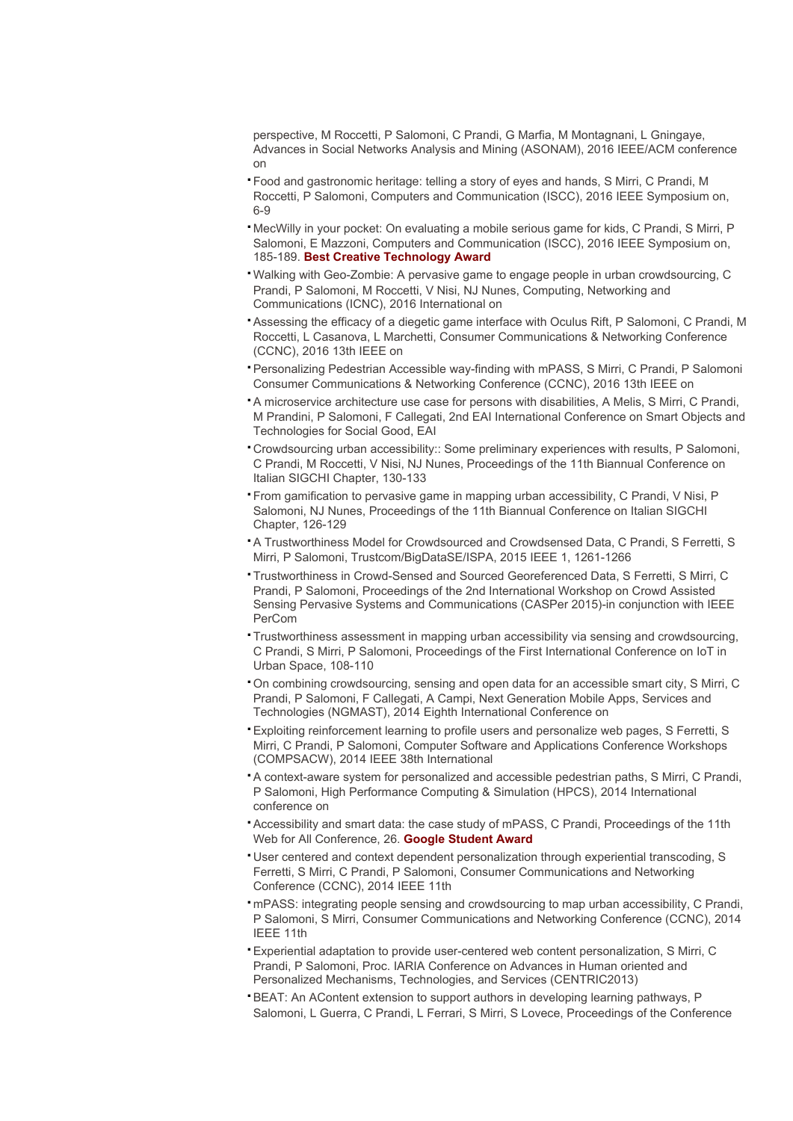perspective, M Roccetti, P Salomoni, C Prandi, G Marfia, M Montagnani, L Gningaye, Advances in Social Networks Analysis and Mining (ASONAM), 2016 IEEE/ACM conference on

- ▪Food and gastronomic heritage: telling a story of eyes and hands, S Mirri, C Prandi, M Roccetti, P Salomoni, Computers and Communication (ISCC), 2016 IEEE Symposium on, 6-9
- ▪MecWilly in your pocket: On evaluating a mobile serious game for kids, C Prandi, S Mirri, P Salomoni, E Mazzoni, Computers and Communication (ISCC), 2016 IEEE Symposium on, 185-189. **Best Creative Technology Award**
- ▪Walking with Geo-Zombie: A pervasive game to engage people in urban crowdsourcing, C Prandi, P Salomoni, M Roccetti, V Nisi, NJ Nunes, Computing, Networking and Communications (ICNC), 2016 International on
- ▪Assessing the efficacy of a diegetic game interface with Oculus Rift, P Salomoni, C Prandi, M Roccetti, L Casanova, L Marchetti, Consumer Communications & Networking Conference (CCNC), 2016 13th IEEE on
- ▪Personalizing Pedestrian Accessible way-finding with mPASS, S Mirri, C Prandi, P Salomoni Consumer Communications & Networking Conference (CCNC), 2016 13th IEEE on
- ▪A microservice architecture use case for persons with disabilities, A Melis, S Mirri, C Prandi, M Prandini, P Salomoni, F Callegati, 2nd EAI International Conference on Smart Objects and Technologies for Social Good, EAI
- ▪Crowdsourcing urban accessibility:: Some preliminary experiences with results, P Salomoni, C Prandi, M Roccetti, V Nisi, NJ Nunes, Proceedings of the 11th Biannual Conference on Italian SIGCHI Chapter, 130-133
- ▪From gamification to pervasive game in mapping urban accessibility, C Prandi, V Nisi, P Salomoni, NJ Nunes, Proceedings of the 11th Biannual Conference on Italian SIGCHI Chapter, 126-129
- ▪A Trustworthiness Model for Crowdsourced and Crowdsensed Data, C Prandi, S Ferretti, S Mirri, P Salomoni, Trustcom/BigDataSE/ISPA, 2015 IEEE 1, 1261-1266
- ▪Trustworthiness in Crowd-Sensed and Sourced Georeferenced Data, S Ferretti, S Mirri, C Prandi, P Salomoni, Proceedings of the 2nd International Workshop on Crowd Assisted Sensing Pervasive Systems and Communications (CASPer 2015)-in conjunction with IEEE PerCom
- ▪Trustworthiness assessment in mapping urban accessibility via sensing and crowdsourcing, C Prandi, S Mirri, P Salomoni, Proceedings of the First International Conference on IoT in Urban Space, 108-110
- ▪On combining crowdsourcing, sensing and open data for an accessible smart city, S Mirri, C Prandi, P Salomoni, F Callegati, A Campi, Next Generation Mobile Apps, Services and Technologies (NGMAST), 2014 Eighth International Conference on
- ▪Exploiting reinforcement learning to profile users and personalize web pages, S Ferretti, S Mirri, C Prandi, P Salomoni, Computer Software and Applications Conference Workshops (COMPSACW), 2014 IEEE 38th International
- ▪A context-aware system for personalized and accessible pedestrian paths, S Mirri, C Prandi, P Salomoni, High Performance Computing & Simulation (HPCS), 2014 International conference on
- ▪Accessibility and smart data: the case study of mPASS, C Prandi, Proceedings of the 11th Web for All Conference, 26. **Google Student Award**
- ▪User centered and context dependent personalization through experiential transcoding, S Ferretti, S Mirri, C Prandi, P Salomoni, Consumer Communications and Networking Conference (CCNC), 2014 IEEE 11th
- ▪mPASS: integrating people sensing and crowdsourcing to map urban accessibility, C Prandi, P Salomoni, S Mirri, Consumer Communications and Networking Conference (CCNC), 2014 IEEE 11th
- ▪Experiential adaptation to provide user-centered web content personalization, S Mirri, C Prandi, P Salomoni, Proc. IARIA Conference on Advances in Human oriented and Personalized Mechanisms, Technologies, and Services (CENTRIC2013)
- ▪BEAT: An AContent extension to support authors in developing learning pathways, P Salomoni, L Guerra, C Prandi, L Ferrari, S Mirri, S Lovece, Proceedings of the Conference